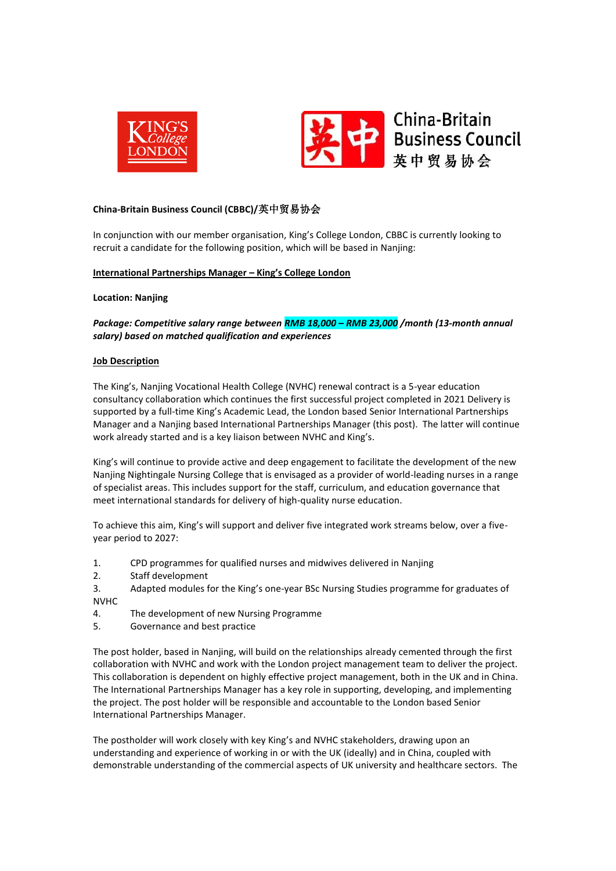



## **China-Britain Business Council (CBBC)/**英中贸易协会

In conjunction with our member organisation, King's College London, CBBC is currently looking to recruit a candidate for the following position, which will be based in Nanjing:

### **International Partnerships Manager – King's College London**

### **Location: Nanjing**

*Package: Competitive salary range between RMB 18,000 – RMB 23,000 /month (13-month annual salary) based on matched qualification and experiences*

### **Job Description**

The King's, Nanjing Vocational Health College (NVHC) renewal contract is a 5-year education consultancy collaboration which continues the first successful project completed in 2021 Delivery is supported by a full-time King's Academic Lead, the London based Senior International Partnerships Manager and a Nanjing based International Partnerships Manager (this post). The latter will continue work already started and is a key liaison between NVHC and King's.

King's will continue to provide active and deep engagement to facilitate the development of the new Nanjing Nightingale Nursing College that is envisaged as a provider of world-leading nurses in a range of specialist areas. This includes support for the staff, curriculum, and education governance that meet international standards for delivery of high-quality nurse education.

To achieve this aim, King's will support and deliver five integrated work streams below, over a fiveyear period to 2027:

- 1. CPD programmes for qualified nurses and midwives delivered in Nanjing
- 2. Staff development
- 3. Adapted modules for the King's one-year BSc Nursing Studies programme for graduates of NVHC
- 4. The development of new Nursing Programme
- 5. Governance and best practice

The post holder, based in Nanjing, will build on the relationships already cemented through the first collaboration with NVHC and work with the London project management team to deliver the project. This collaboration is dependent on highly effective project management, both in the UK and in China. The International Partnerships Manager has a key role in supporting, developing, and implementing the project. The post holder will be responsible and accountable to the London based Senior International Partnerships Manager.

The postholder will work closely with key King's and NVHC stakeholders, drawing upon an understanding and experience of working in or with the UK (ideally) and in China, coupled with demonstrable understanding of the commercial aspects of UK university and healthcare sectors. The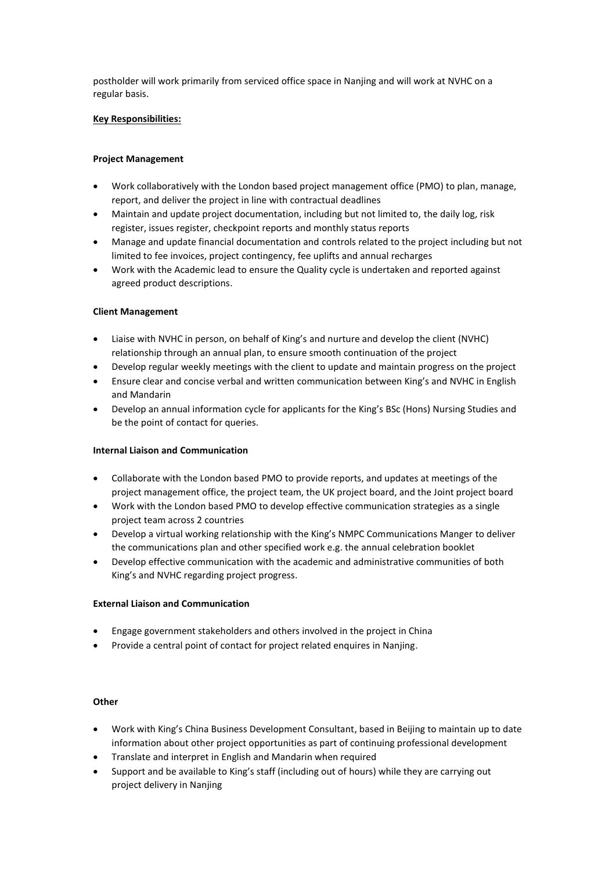postholder will work primarily from serviced office space in Nanjing and will work at NVHC on a regular basis.

## **Key Responsibilities:**

## **Project Management**

- Work collaboratively with the London based project management office (PMO) to plan, manage, report, and deliver the project in line with contractual deadlines
- Maintain and update project documentation, including but not limited to, the daily log, risk register, issues register, checkpoint reports and monthly status reports
- Manage and update financial documentation and controls related to the project including but not limited to fee invoices, project contingency, fee uplifts and annual recharges
- Work with the Academic lead to ensure the Quality cycle is undertaken and reported against agreed product descriptions.

# **Client Management**

- Liaise with NVHC in person, on behalf of King's and nurture and develop the client (NVHC) relationship through an annual plan, to ensure smooth continuation of the project
- Develop regular weekly meetings with the client to update and maintain progress on the project
- Ensure clear and concise verbal and written communication between King's and NVHC in English and Mandarin
- Develop an annual information cycle for applicants for the King's BSc (Hons) Nursing Studies and be the point of contact for queries.

## **Internal Liaison and Communication**

- Collaborate with the London based PMO to provide reports, and updates at meetings of the project management office, the project team, the UK project board, and the Joint project board
- Work with the London based PMO to develop effective communication strategies as a single project team across 2 countries
- Develop a virtual working relationship with the King's NMPC Communications Manger to deliver the communications plan and other specified work e.g. the annual celebration booklet
- Develop effective communication with the academic and administrative communities of both King's and NVHC regarding project progress.

# **External Liaison and Communication**

- Engage government stakeholders and others involved in the project in China
- Provide a central point of contact for project related enquires in Nanjing.

## **Other**

- Work with King's China Business Development Consultant, based in Beijing to maintain up to date information about other project opportunities as part of continuing professional development
- Translate and interpret in English and Mandarin when required
- Support and be available to King's staff (including out of hours) while they are carrying out project delivery in Nanjing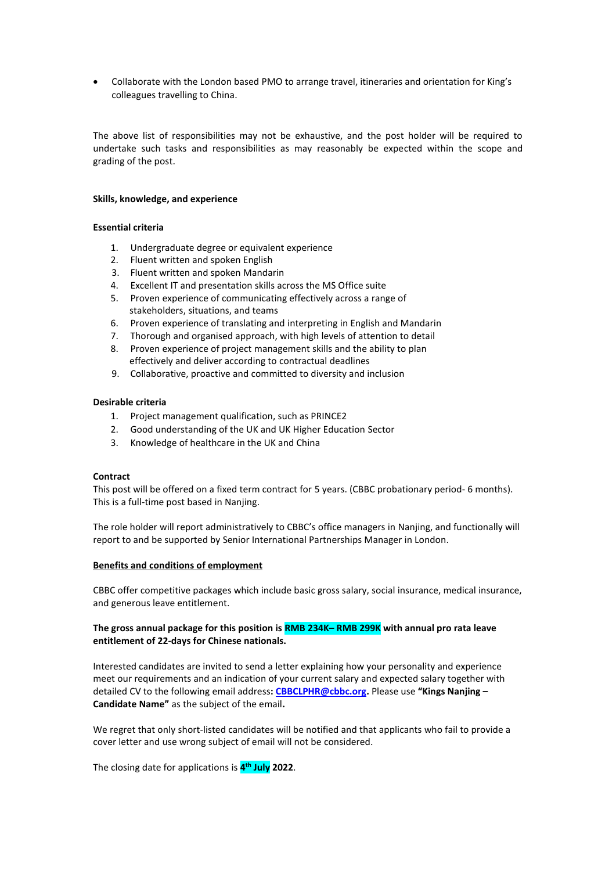• Collaborate with the London based PMO to arrange travel, itineraries and orientation for King's colleagues travelling to China.

The above list of responsibilities may not be exhaustive, and the post holder will be required to undertake such tasks and responsibilities as may reasonably be expected within the scope and grading of the post.

### **Skills, knowledge, and experience**

## **Essential criteria**

- 1. Undergraduate degree or equivalent experience
- 2. Fluent written and spoken English
- 3. Fluent written and spoken Mandarin
- 4. Excellent IT and presentation skills across the MS Office suite
- 5. Proven experience of communicating effectively across a range of stakeholders, situations, and teams
- 6. Proven experience of translating and interpreting in English and Mandarin
- 7. Thorough and organised approach, with high levels of attention to detail 8. Proven experience of project management skills and the ability to plan
	- effectively and deliver according to contractual deadlines
- 9. Collaborative, proactive and committed to diversity and inclusion

### **Desirable criteria**

- 1. Project management qualification, such as PRINCE2
- 2. Good understanding of the UK and UK Higher Education Sector
- 3. Knowledge of healthcare in the UK and China

### **Contract**

This post will be offered on a fixed term contract for 5 years. (CBBC probationary period- 6 months). This is a full-time post based in Nanjing.

The role holder will report administratively to CBBC's office managers in Nanjing, and functionally will report to and be supported by Senior International Partnerships Manager in London.

## **Benefits and conditions of employment**

CBBC offer competitive packages which include basic gross salary, social insurance, medical insurance, and generous leave entitlement.

# **The gross annual package for this position is RMB 234K– RMB 299K with annual pro rata leave entitlement of 22-days for Chinese nationals.**

Interested candidates are invited to send a letter explaining how your personality and experience meet our requirements and an indication of your current salary and expected salary together with detailed CV to the following email address**[: CBBCLPHR@cbbc.org.](mailto:CBBCLPHR@cbbc.org)** Please use **"Kings Nanjing – Candidate Name"** as the subject of the email**.** 

We regret that only short-listed candidates will be notified and that applicants who fail to provide a cover letter and use wrong subject of email will not be considered.

The closing date for applications is **4 th July 2022**.